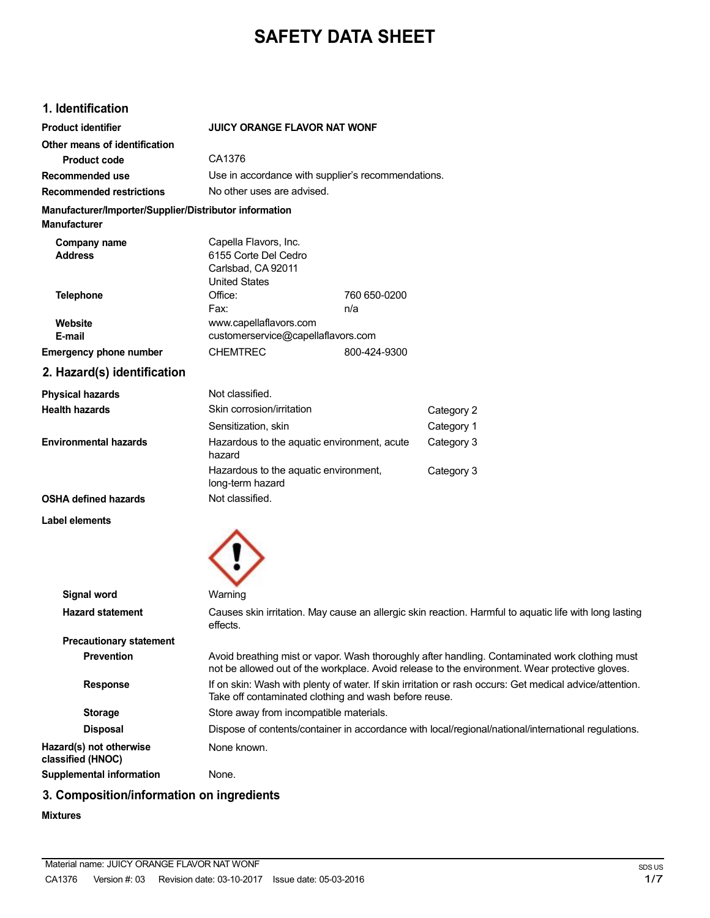# **SAFETY DATA SHEET**

# **1. Identification**

| <b>Product identifier</b>                                                     | <b>JUICY ORANGE FLAVOR NAT WONF</b>                                                                                                                              |              |                                                                                                                                                                                                  |
|-------------------------------------------------------------------------------|------------------------------------------------------------------------------------------------------------------------------------------------------------------|--------------|--------------------------------------------------------------------------------------------------------------------------------------------------------------------------------------------------|
| Other means of identification                                                 |                                                                                                                                                                  |              |                                                                                                                                                                                                  |
| <b>Product code</b>                                                           | CA1376                                                                                                                                                           |              |                                                                                                                                                                                                  |
| Recommended use                                                               | Use in accordance with supplier's recommendations.                                                                                                               |              |                                                                                                                                                                                                  |
| <b>Recommended restrictions</b>                                               | No other uses are advised.                                                                                                                                       |              |                                                                                                                                                                                                  |
| Manufacturer/Importer/Supplier/Distributor information<br><b>Manufacturer</b> |                                                                                                                                                                  |              |                                                                                                                                                                                                  |
| Company name<br><b>Address</b>                                                | Capella Flavors, Inc.<br>6155 Corte Del Cedro<br>Carlsbad, CA 92011<br><b>United States</b>                                                                      |              |                                                                                                                                                                                                  |
| <b>Telephone</b>                                                              | Office:                                                                                                                                                          | 760 650-0200 |                                                                                                                                                                                                  |
|                                                                               | Fax:                                                                                                                                                             | n/a          |                                                                                                                                                                                                  |
| Website<br>E-mail                                                             | www.capellaflavors.com                                                                                                                                           |              |                                                                                                                                                                                                  |
|                                                                               | customerservice@capellaflavors.com<br><b>CHEMTREC</b>                                                                                                            | 800-424-9300 |                                                                                                                                                                                                  |
| <b>Emergency phone number</b>                                                 |                                                                                                                                                                  |              |                                                                                                                                                                                                  |
| 2. Hazard(s) identification                                                   |                                                                                                                                                                  |              |                                                                                                                                                                                                  |
| <b>Physical hazards</b>                                                       | Not classified.                                                                                                                                                  |              |                                                                                                                                                                                                  |
| <b>Health hazards</b>                                                         | Skin corrosion/irritation                                                                                                                                        |              | Category 2                                                                                                                                                                                       |
|                                                                               | Sensitization, skin                                                                                                                                              |              | Category 1                                                                                                                                                                                       |
| <b>Environmental hazards</b>                                                  | Hazardous to the aquatic environment, acute<br>hazard                                                                                                            |              | Category 3                                                                                                                                                                                       |
|                                                                               | Hazardous to the aquatic environment,<br>long-term hazard                                                                                                        |              | Category 3                                                                                                                                                                                       |
| <b>OSHA defined hazards</b>                                                   | Not classified.                                                                                                                                                  |              |                                                                                                                                                                                                  |
| Label elements                                                                |                                                                                                                                                                  |              |                                                                                                                                                                                                  |
|                                                                               |                                                                                                                                                                  |              |                                                                                                                                                                                                  |
| <b>Signal word</b>                                                            | Warning                                                                                                                                                          |              |                                                                                                                                                                                                  |
| <b>Hazard statement</b>                                                       | effects.                                                                                                                                                         |              | Causes skin irritation. May cause an allergic skin reaction. Harmful to aquatic life with long lasting                                                                                           |
| <b>Precautionary statement</b>                                                |                                                                                                                                                                  |              |                                                                                                                                                                                                  |
| <b>Prevention</b>                                                             |                                                                                                                                                                  |              | Avoid breathing mist or vapor. Wash thoroughly after handling. Contaminated work clothing must<br>not be allowed out of the workplace. Avoid release to the environment. Wear protective gloves. |
| <b>Response</b>                                                               | If on skin: Wash with plenty of water. If skin irritation or rash occurs: Get medical advice/attention.<br>Take off contaminated clothing and wash before reuse. |              |                                                                                                                                                                                                  |
| <b>Storage</b>                                                                | Store away from incompatible materials.                                                                                                                          |              |                                                                                                                                                                                                  |
| <b>Disposal</b>                                                               |                                                                                                                                                                  |              | Dispose of contents/container in accordance with local/regional/national/international regulations.                                                                                              |
| Hazard(s) not otherwise<br>classified (HNOC)                                  | None known.                                                                                                                                                      |              |                                                                                                                                                                                                  |

**Supplemental information** None.

# **3. Composition/information on ingredients**

#### **Mixtures**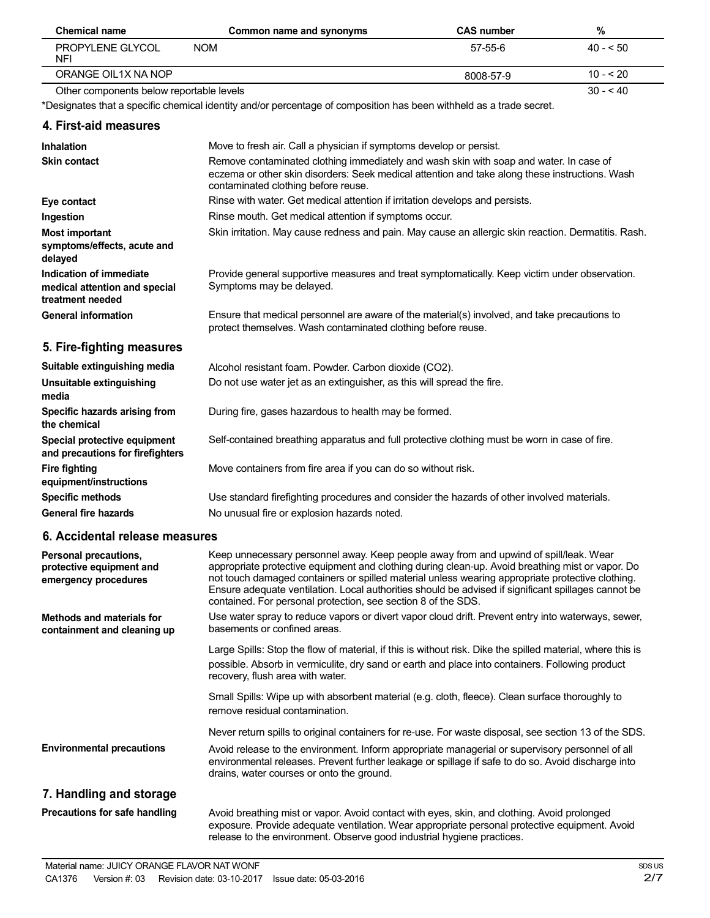| <b>Chemical name</b>                                                         | Common name and synonyms                                                                                                                                                                                                                                                                                                                                                                                                                                              | <b>CAS number</b> | $\%$      |
|------------------------------------------------------------------------------|-----------------------------------------------------------------------------------------------------------------------------------------------------------------------------------------------------------------------------------------------------------------------------------------------------------------------------------------------------------------------------------------------------------------------------------------------------------------------|-------------------|-----------|
| PROPYLENE GLYCOL<br>NFI                                                      | <b>NOM</b>                                                                                                                                                                                                                                                                                                                                                                                                                                                            | 57-55-6           | $40 - 50$ |
| ORANGE OIL1X NA NOP                                                          |                                                                                                                                                                                                                                                                                                                                                                                                                                                                       | 8008-57-9         | $10 - 20$ |
| Other components below reportable levels                                     |                                                                                                                                                                                                                                                                                                                                                                                                                                                                       |                   | $30 - 40$ |
|                                                                              | *Designates that a specific chemical identity and/or percentage of composition has been withheld as a trade secret.                                                                                                                                                                                                                                                                                                                                                   |                   |           |
| 4. First-aid measures                                                        |                                                                                                                                                                                                                                                                                                                                                                                                                                                                       |                   |           |
| <b>Inhalation</b>                                                            | Move to fresh air. Call a physician if symptoms develop or persist.                                                                                                                                                                                                                                                                                                                                                                                                   |                   |           |
| <b>Skin contact</b>                                                          | Remove contaminated clothing immediately and wash skin with soap and water. In case of<br>eczema or other skin disorders: Seek medical attention and take along these instructions. Wash<br>contaminated clothing before reuse.                                                                                                                                                                                                                                       |                   |           |
| Eye contact                                                                  | Rinse with water. Get medical attention if irritation develops and persists.                                                                                                                                                                                                                                                                                                                                                                                          |                   |           |
| Ingestion                                                                    | Rinse mouth. Get medical attention if symptoms occur.                                                                                                                                                                                                                                                                                                                                                                                                                 |                   |           |
| <b>Most important</b><br>symptoms/effects, acute and<br>delayed              | Skin irritation. May cause redness and pain. May cause an allergic skin reaction. Dermatitis. Rash.                                                                                                                                                                                                                                                                                                                                                                   |                   |           |
| Indication of immediate<br>medical attention and special<br>treatment needed | Provide general supportive measures and treat symptomatically. Keep victim under observation.<br>Symptoms may be delayed.                                                                                                                                                                                                                                                                                                                                             |                   |           |
| <b>General information</b>                                                   | Ensure that medical personnel are aware of the material(s) involved, and take precautions to<br>protect themselves. Wash contaminated clothing before reuse.                                                                                                                                                                                                                                                                                                          |                   |           |
| 5. Fire-fighting measures                                                    |                                                                                                                                                                                                                                                                                                                                                                                                                                                                       |                   |           |
| Suitable extinguishing media                                                 | Alcohol resistant foam. Powder. Carbon dioxide (CO2).                                                                                                                                                                                                                                                                                                                                                                                                                 |                   |           |
| <b>Unsuitable extinguishing</b><br>media                                     | Do not use water jet as an extinguisher, as this will spread the fire.                                                                                                                                                                                                                                                                                                                                                                                                |                   |           |
| Specific hazards arising from<br>the chemical                                | During fire, gases hazardous to health may be formed.                                                                                                                                                                                                                                                                                                                                                                                                                 |                   |           |
| Special protective equipment<br>and precautions for firefighters             | Self-contained breathing apparatus and full protective clothing must be worn in case of fire.                                                                                                                                                                                                                                                                                                                                                                         |                   |           |
| <b>Fire fighting</b><br>equipment/instructions                               | Move containers from fire area if you can do so without risk.                                                                                                                                                                                                                                                                                                                                                                                                         |                   |           |
| <b>Specific methods</b>                                                      | Use standard firefighting procedures and consider the hazards of other involved materials.                                                                                                                                                                                                                                                                                                                                                                            |                   |           |
| <b>General fire hazards</b>                                                  | No unusual fire or explosion hazards noted.                                                                                                                                                                                                                                                                                                                                                                                                                           |                   |           |
| 6. Accidental release measures                                               |                                                                                                                                                                                                                                                                                                                                                                                                                                                                       |                   |           |
| Personal precautions,<br>protective equipment and<br>emergency procedures    | Keep unnecessary personnel away. Keep people away from and upwind of spill/leak. Wear<br>appropriate protective equipment and clothing during clean-up. Avoid breathing mist or vapor. Do<br>not touch damaged containers or spilled material unless wearing appropriate protective clothing.<br>Ensure adequate ventilation. Local authorities should be advised if significant spillages cannot be<br>contained. For personal protection, see section 8 of the SDS. |                   |           |

**Methods and materials for containment and cleaning up** Use water spray to reduce vapors or divert vapor cloud drift. Prevent entry into waterways, sewer, basements or confined areas.

> Large Spills: Stop the flow of material, if this is without risk. Dike the spilled material, where this is possible. Absorb in vermiculite, dry sand or earth and place into containers. Following product recovery, flush area with water.

Small Spills: Wipe up with absorbent material (e.g. cloth, fleece). Clean surface thoroughly to remove residual contamination.

Never return spills to original containers for re-use. For waste disposal, see section 13 of the SDS.

**Environmental precautions** Avoid release to the environment. Inform appropriate managerial or supervisory personnel of all environmental releases. Prevent further leakage or spillage if safe to do so. Avoid discharge into drains, water courses or onto the ground.

### **7. Handling and storage**

**Precautions for safe handling**

Avoid breathing mist or vapor. Avoid contact with eyes, skin, and clothing. Avoid prolonged exposure. Provide adequate ventilation. Wear appropriate personal protective equipment. Avoid release to the environment. Observe good industrial hygiene practices.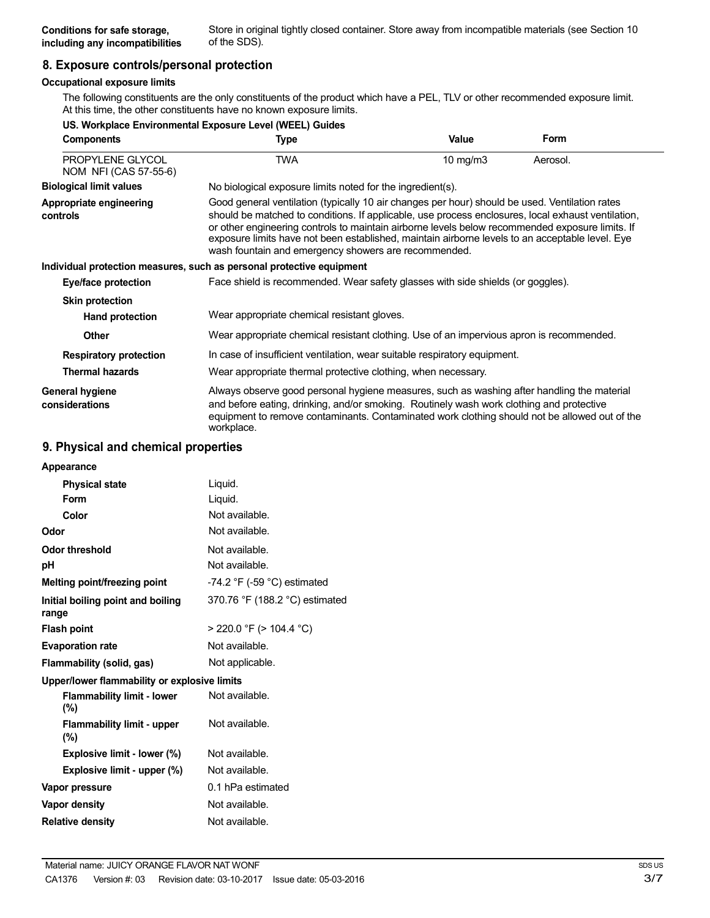## **8. Exposure controls/personal protection**

### **Occupational exposure limits**

The following constituents are the only constituents of the product which have a PEL, TLV or other recommended exposure limit. At this time, the other constituents have no known exposure limits.

|                                                         | US. Workplace Environmental Exposure Level (WEEL) Guides                                                                                                                                                                                                                                                                                                                                                                                                           |             |          |
|---------------------------------------------------------|--------------------------------------------------------------------------------------------------------------------------------------------------------------------------------------------------------------------------------------------------------------------------------------------------------------------------------------------------------------------------------------------------------------------------------------------------------------------|-------------|----------|
| <b>Components</b>                                       | Type                                                                                                                                                                                                                                                                                                                                                                                                                                                               | Value       | Form     |
| PROPYLENE GLYCOL<br>NOM NFI (CAS 57-55-6)               | <b>TWA</b>                                                                                                                                                                                                                                                                                                                                                                                                                                                         | 10 mg/m $3$ | Aerosol. |
| <b>Biological limit values</b>                          | No biological exposure limits noted for the ingredient(s).                                                                                                                                                                                                                                                                                                                                                                                                         |             |          |
| Appropriate engineering<br>controls                     | Good general ventilation (typically 10 air changes per hour) should be used. Ventilation rates<br>should be matched to conditions. If applicable, use process enclosures, local exhaust ventilation,<br>or other engineering controls to maintain airborne levels below recommended exposure limits. If<br>exposure limits have not been established, maintain airborne levels to an acceptable level. Eye<br>wash fountain and emergency showers are recommended. |             |          |
|                                                         | Individual protection measures, such as personal protective equipment                                                                                                                                                                                                                                                                                                                                                                                              |             |          |
| Eye/face protection                                     | Face shield is recommended. Wear safety glasses with side shields (or goggles).                                                                                                                                                                                                                                                                                                                                                                                    |             |          |
| <b>Skin protection</b>                                  |                                                                                                                                                                                                                                                                                                                                                                                                                                                                    |             |          |
| <b>Hand protection</b>                                  | Wear appropriate chemical resistant gloves.                                                                                                                                                                                                                                                                                                                                                                                                                        |             |          |
| <b>Other</b>                                            | Wear appropriate chemical resistant clothing. Use of an impervious apron is recommended.                                                                                                                                                                                                                                                                                                                                                                           |             |          |
| <b>Respiratory protection</b><br><b>Thermal hazards</b> | In case of insufficient ventilation, wear suitable respiratory equipment.<br>Wear appropriate thermal protective clothing, when necessary.                                                                                                                                                                                                                                                                                                                         |             |          |
| General hygiene<br>considerations                       | Always observe good personal hygiene measures, such as washing after handling the material<br>and before eating, drinking, and/or smoking. Routinely wash work clothing and protective<br>equipment to remove contaminants. Contaminated work clothing should not be allowed out of the<br>workplace.                                                                                                                                                              |             |          |

### **9. Physical and chemical properties**

| Liquid.                                      |
|----------------------------------------------|
| Liquid.                                      |
| Not available.                               |
| Not available.                               |
| Not available.                               |
| Not available.                               |
| $-74.2$ °F ( $-59$ °C) estimated             |
| 370.76 °F (188.2 °C) estimated               |
| > 220.0 °F (> 104.4 °C)                      |
| Not available.                               |
| Not applicable.                              |
| Upper/lower flammability or explosive limits |
| Not available.                               |
| Not available.                               |
| Not available.                               |
| Not available.                               |
| 0.1 hPa estimated                            |
| Not available.                               |
| Not available.                               |
|                                              |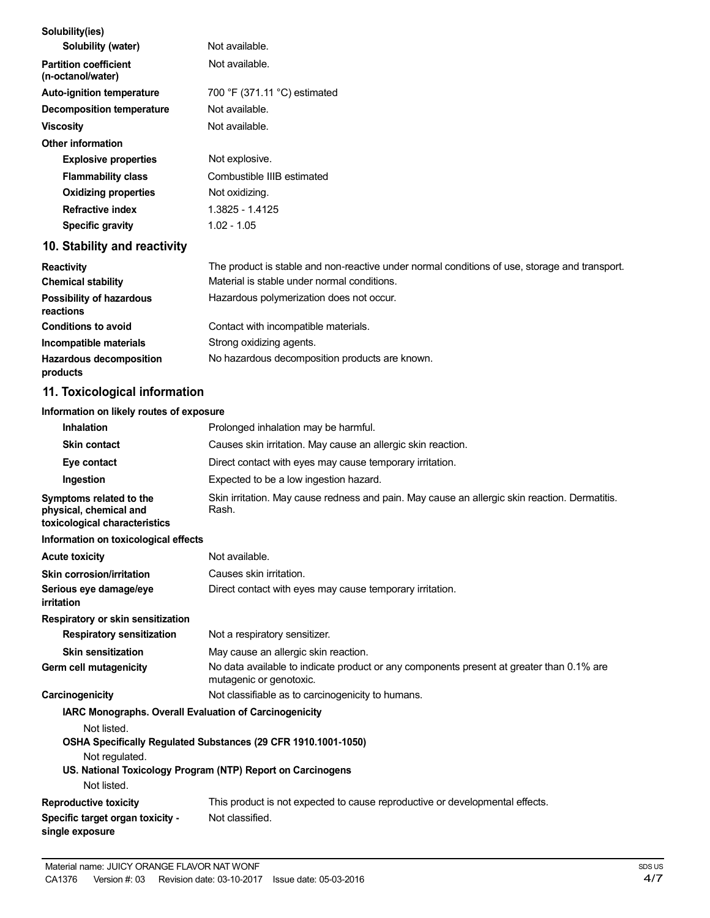| Solubility(ies)                                                                    |                                                                                                                     |
|------------------------------------------------------------------------------------|---------------------------------------------------------------------------------------------------------------------|
| Solubility (water)                                                                 | Not available.                                                                                                      |
| <b>Partition coefficient</b><br>(n-octanol/water)                                  | Not available.                                                                                                      |
| <b>Auto-ignition temperature</b>                                                   | 700 °F (371.11 °C) estimated                                                                                        |
| <b>Decomposition temperature</b>                                                   | Not available.                                                                                                      |
| <b>Viscosity</b>                                                                   | Not available.                                                                                                      |
| <b>Other information</b>                                                           |                                                                                                                     |
| <b>Explosive properties</b>                                                        | Not explosive.                                                                                                      |
| <b>Flammability class</b>                                                          | Combustible IIIB estimated                                                                                          |
| <b>Oxidizing properties</b>                                                        | Not oxidizing.                                                                                                      |
| <b>Refractive index</b>                                                            | 1.3825 - 1.4125                                                                                                     |
| <b>Specific gravity</b>                                                            | $1.02 - 1.05$                                                                                                       |
| 10. Stability and reactivity                                                       |                                                                                                                     |
| <b>Reactivity</b>                                                                  | The product is stable and non-reactive under normal conditions of use, storage and transport.                       |
| <b>Chemical stability</b>                                                          | Material is stable under normal conditions.                                                                         |
| <b>Possibility of hazardous</b><br>reactions                                       | Hazardous polymerization does not occur.                                                                            |
| <b>Conditions to avoid</b>                                                         | Contact with incompatible materials.                                                                                |
| Incompatible materials                                                             | Strong oxidizing agents.                                                                                            |
| <b>Hazardous decomposition</b><br>products                                         | No hazardous decomposition products are known.                                                                      |
| 11. Toxicological information                                                      |                                                                                                                     |
| Information on likely routes of exposure                                           |                                                                                                                     |
| <b>Inhalation</b>                                                                  | Prolonged inhalation may be harmful.                                                                                |
| <b>Skin contact</b>                                                                | Causes skin irritation. May cause an allergic skin reaction.                                                        |
| Eye contact                                                                        | Direct contact with eyes may cause temporary irritation.                                                            |
| Ingestion                                                                          | Expected to be a low ingestion hazard.                                                                              |
| Symptoms related to the<br>physical, chemical and<br>toxicological characteristics | Skin irritation. May cause redness and pain. May cause an allergic skin reaction. Dermatitis.<br>Rash.              |
| Information on toxicological effects                                               |                                                                                                                     |
| <b>Acute toxicity</b>                                                              | Not available.                                                                                                      |
| <b>Skin corrosion/irritation</b>                                                   | Causes skin irritation.                                                                                             |
| Serious eye damage/eye<br>irritation                                               | Direct contact with eyes may cause temporary irritation.                                                            |
| Respiratory or skin sensitization                                                  |                                                                                                                     |
| <b>Respiratory sensitization</b>                                                   | Not a respiratory sensitizer.                                                                                       |
| <b>Skin sensitization</b>                                                          | May cause an allergic skin reaction.                                                                                |
| Germ cell mutagenicity                                                             | No data available to indicate product or any components present at greater than 0.1% are<br>mutagenic or genotoxic. |
| Carcinogenicity                                                                    | Not classifiable as to carcinogenicity to humans.                                                                   |
| IARC Monographs. Overall Evaluation of Carcinogenicity                             |                                                                                                                     |
| Not listed.                                                                        | OSHA Specifically Regulated Substances (29 CFR 1910.1001-1050)                                                      |
| Not regulated.                                                                     | US. National Toxicology Program (NTP) Report on Carcinogens                                                         |

# Not listed.

#### **Reproductive toxicity Specific target organ toxicity single exposure** This product is not expected to cause reproductive or developmental effects. Not classified.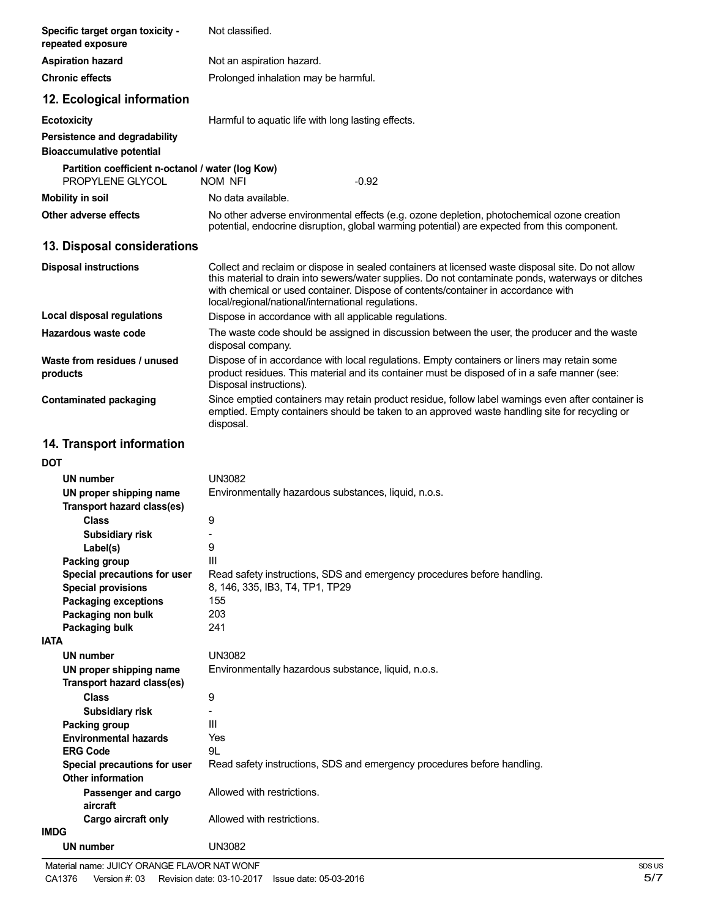| Specific target organ toxicity -<br>repeated exposure                 | Not classified.                                                                                                                                                                                                                                                                                                                                   |
|-----------------------------------------------------------------------|---------------------------------------------------------------------------------------------------------------------------------------------------------------------------------------------------------------------------------------------------------------------------------------------------------------------------------------------------|
| <b>Aspiration hazard</b>                                              | Not an aspiration hazard.                                                                                                                                                                                                                                                                                                                         |
| <b>Chronic effects</b>                                                | Prolonged inhalation may be harmful.                                                                                                                                                                                                                                                                                                              |
| 12. Ecological information                                            |                                                                                                                                                                                                                                                                                                                                                   |
| <b>Ecotoxicity</b>                                                    | Harmful to aquatic life with long lasting effects.                                                                                                                                                                                                                                                                                                |
| Persistence and degradability<br><b>Bioaccumulative potential</b>     |                                                                                                                                                                                                                                                                                                                                                   |
| Partition coefficient n-octanol / water (log Kow)<br>PROPYLENE GLYCOL | <b>NOM NFI</b><br>$-0.92$                                                                                                                                                                                                                                                                                                                         |
| <b>Mobility in soil</b>                                               | No data available.                                                                                                                                                                                                                                                                                                                                |
| Other adverse effects                                                 | No other adverse environmental effects (e.g. ozone depletion, photochemical ozone creation<br>potential, endocrine disruption, global warming potential) are expected from this component.                                                                                                                                                        |
| 13. Disposal considerations                                           |                                                                                                                                                                                                                                                                                                                                                   |
| <b>Disposal instructions</b>                                          | Collect and reclaim or dispose in sealed containers at licensed waste disposal site. Do not allow<br>this material to drain into sewers/water supplies. Do not contaminate ponds, waterways or ditches<br>with chemical or used container. Dispose of contents/container in accordance with<br>local/regional/national/international regulations. |
| <b>Local disposal regulations</b>                                     | Dispose in accordance with all applicable regulations.                                                                                                                                                                                                                                                                                            |
| Hazardous waste code                                                  | The waste code should be assigned in discussion between the user, the producer and the waste<br>disposal company.                                                                                                                                                                                                                                 |
| Waste from residues / unused<br>products                              | Dispose of in accordance with local regulations. Empty containers or liners may retain some<br>product residues. This material and its container must be disposed of in a safe manner (see:<br>Disposal instructions).                                                                                                                            |
| <b>Contaminated packaging</b>                                         | Since emptied containers may retain product residue, follow label warnings even after container is<br>emptied. Empty containers should be taken to an approved waste handling site for recycling or<br>disposal.                                                                                                                                  |
| 14. Transport information                                             |                                                                                                                                                                                                                                                                                                                                                   |
| DOT                                                                   |                                                                                                                                                                                                                                                                                                                                                   |
| UN number                                                             | UN3082                                                                                                                                                                                                                                                                                                                                            |
| UN proper shipping name<br>Transport hazard class(es)                 | Environmentally hazardous substances, liquid, n.o.s.                                                                                                                                                                                                                                                                                              |
| <b>Class</b>                                                          | 9                                                                                                                                                                                                                                                                                                                                                 |
| <b>Subsidiary risk</b>                                                |                                                                                                                                                                                                                                                                                                                                                   |
| Label(s)                                                              | 9                                                                                                                                                                                                                                                                                                                                                 |
| Packing group<br>Special precautions for user                         | Ш<br>Read safety instructions, SDS and emergency procedures before handling.                                                                                                                                                                                                                                                                      |
| <b>Special provisions</b>                                             | 8, 146, 335, IB3, T4, TP1, TP29                                                                                                                                                                                                                                                                                                                   |
| <b>Packaging exceptions</b>                                           | 155                                                                                                                                                                                                                                                                                                                                               |
| Packaging non bulk                                                    | 203                                                                                                                                                                                                                                                                                                                                               |
| Packaging bulk                                                        | 241                                                                                                                                                                                                                                                                                                                                               |
| <b>IATA</b>                                                           |                                                                                                                                                                                                                                                                                                                                                   |
| <b>UN number</b>                                                      | <b>UN3082</b>                                                                                                                                                                                                                                                                                                                                     |
| UN proper shipping name<br><b>Transport hazard class(es)</b>          | Environmentally hazardous substance, liquid, n.o.s.                                                                                                                                                                                                                                                                                               |
| <b>Class</b>                                                          | 9                                                                                                                                                                                                                                                                                                                                                 |
| Subsidiary risk                                                       |                                                                                                                                                                                                                                                                                                                                                   |
| Packing group                                                         | Ш                                                                                                                                                                                                                                                                                                                                                 |
| <b>Environmental hazards</b><br><b>ERG Code</b>                       | Yes<br>9L                                                                                                                                                                                                                                                                                                                                         |
| Special precautions for user<br>Other information                     | Read safety instructions, SDS and emergency procedures before handling.                                                                                                                                                                                                                                                                           |
| Passenger and cargo                                                   | Allowed with restrictions.                                                                                                                                                                                                                                                                                                                        |
| aircraft<br>Cargo aircraft only                                       | Allowed with restrictions.                                                                                                                                                                                                                                                                                                                        |
| <b>IMDG</b>                                                           |                                                                                                                                                                                                                                                                                                                                                   |
| <b>UN number</b>                                                      | UN3082                                                                                                                                                                                                                                                                                                                                            |
|                                                                       |                                                                                                                                                                                                                                                                                                                                                   |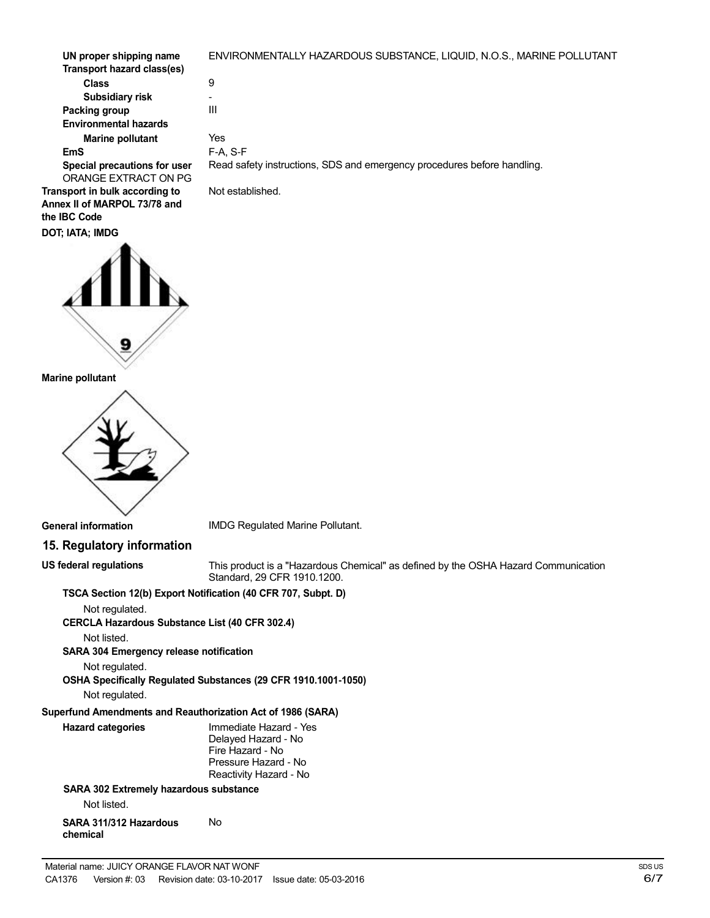| UN proper shipping name      | ENVIRONMENTALLY HAZARDOUS SUBSTANCE, LIQUID, N.O.S., MARINE POLLUTANT   |
|------------------------------|-------------------------------------------------------------------------|
| Transport hazard class(es)   |                                                                         |
| <b>Class</b>                 | 9                                                                       |
| Subsidiary risk              | ٠                                                                       |
| Packing group                | Ш                                                                       |
| <b>Environmental hazards</b> |                                                                         |
| <b>Marine pollutant</b>      | Yes                                                                     |
| EmS                          | $F-A. S-F$                                                              |
| Special precautions for user | Read safety instructions, SDS and emergency procedures before handling. |
| ORANGE EXTRACT ON PG         |                                                                         |
| nsport in bulk according to  | Not established.                                                        |

**Transport in bulk according to Annex II of MARPOL 73/78 and the IBC Code**



### **Marine pollutant**



### **General information**

**US federal regulations**

IMDG Regulated Marine Pollutant.

# **15. Regulatory information**

This product is a "Hazardous Chemical" as defined by the OSHA Hazard Communication Standard, 29 CFR 1910.1200.

### **TSCA Section 12(b) Export Notification (40 CFR 707, Subpt. D)**

Not regulated.

**CERCLA Hazardous Substance List (40 CFR 302.4)**

Not listed.

**SARA 304 Emergency release notification**

Not regulated.

**OSHA Specifically Regulated Substances (29 CFR 1910.1001-1050)**

Not regulated.

# **Superfund Amendments and Reauthorization Act of 1986 (SARA)**

| <b>Hazard categories</b>                      | Immediate Hazard - Yes<br>Delayed Hazard - No<br>Fire Hazard - No<br>Pressure Hazard - No<br>Reactivity Hazard - No |
|-----------------------------------------------|---------------------------------------------------------------------------------------------------------------------|
| <b>SARA 302 Extremely hazardous substance</b> |                                                                                                                     |

Not listed.

**SARA 311/312 Hazardous chemical** No